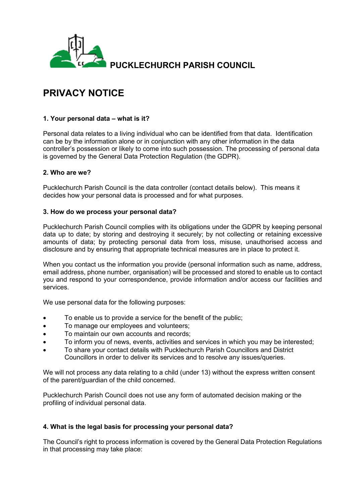

# **PRIVACY NOTICE**

### **1. Your personal data – what is it?**

Personal data relates to a living individual who can be identified from that data. Identification can be by the information alone or in conjunction with any other information in the data controller's possession or likely to come into such possession. The processing of personal data is governed by the General Data Protection Regulation (the GDPR).

#### **2. Who are we?**

Pucklechurch Parish Council is the data controller (contact details below). This means it decides how your personal data is processed and for what purposes.

#### **3. How do we process your personal data?**

Pucklechurch Parish Council complies with its obligations under the GDPR by keeping personal data up to date; by storing and destroying it securely; by not collecting or retaining excessive amounts of data; by protecting personal data from loss, misuse, unauthorised access and disclosure and by ensuring that appropriate technical measures are in place to protect it.

When you contact us the information you provide (personal information such as name, address, email address, phone number, organisation) will be processed and stored to enable us to contact you and respond to your correspondence, provide information and/or access our facilities and services.

We use personal data for the following purposes:

- To enable us to provide a service for the benefit of the public;
- To manage our employees and volunteers;
- To maintain our own accounts and records;
- To inform you of news, events, activities and services in which you may be interested;
- To share your contact details with Pucklechurch Parish Councillors and District Councillors in order to deliver its services and to resolve any issues/queries.

We will not process any data relating to a child (under 13) without the express written consent of the parent/guardian of the child concerned.

Pucklechurch Parish Council does not use any form of automated decision making or the profiling of individual personal data.

#### **4. What is the legal basis for processing your personal data?**

The Council's right to process information is covered by the General Data Protection Regulations in that processing may take place: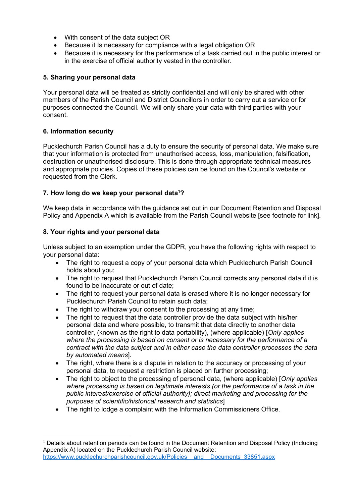- With consent of the data subject OR
- Because it Is necessary for compliance with a legal obligation OR
- Because it is necessary for the performance of a task carried out in the public interest or in the exercise of official authority vested in the controller.

#### **5. Sharing your personal data**

Your personal data will be treated as strictly confidential and will only be shared with other members of the Parish Council and District Councillors in order to carry out a service or for purposes connected the Council. We will only share your data with third parties with your consent.

#### **6. Information security**

Pucklechurch Parish Council has a duty to ensure the security of personal data. We make sure that your information is protected from unauthorised access, loss, manipulation, falsification, destruction or unauthorised disclosure. This is done through appropriate technical measures and appropriate policies. Copies of these policies can be found on the Council's website or requested from the Clerk.

#### **7. How long do we keep your personal data<sup>1</sup>?**

We keep data in accordance with the guidance set out in our Document Retention and Disposal Policy and Appendix A which is available from the Parish Council website [see footnote for link].

#### **8. Your rights and your personal data**

Unless subject to an exemption under the GDPR, you have the following rights with respect to your personal data:

- The right to request a copy of your personal data which Pucklechurch Parish Council holds about you;
- The right to request that Pucklechurch Parish Council corrects any personal data if it is found to be inaccurate or out of date;
- The right to request your personal data is erased where it is no longer necessary for Pucklechurch Parish Council to retain such data;
- The right to withdraw your consent to the processing at any time;
- The right to request that the data controller provide the data subject with his/her personal data and where possible, to transmit that data directly to another data controller, (known as the right to data portability), (where applicable) [*Only applies where the processing is based on consent or is necessary for the performance of a contract with the data subject and in either case the data controller processes the data by automated means*].
- The right, where there is a dispute in relation to the accuracy or processing of your personal data, to request a restriction is placed on further processing;
- The right to object to the processing of personal data, (where applicable) [*Only applies where processing is based on legitimate interests (or the performance of a task in the public interest/exercise of official authority); direct marketing and processing for the purposes of scientific/historical research and statistics*]
- The right to lodge a complaint with the Information Commissioners Office.

<sup>1</sup> Details about retention periods can be found in the Document Retention and Disposal Policy (Including Appendix A) located on the Pucklechurch Parish Council website: [https://www.pucklechurchparishcouncil.gov.uk/Policies\\_\\_and\\_\\_Documents\\_33851.aspx](https://www.pucklechurchparishcouncil.gov.uk/Policies__and__Documents_33851.aspx)